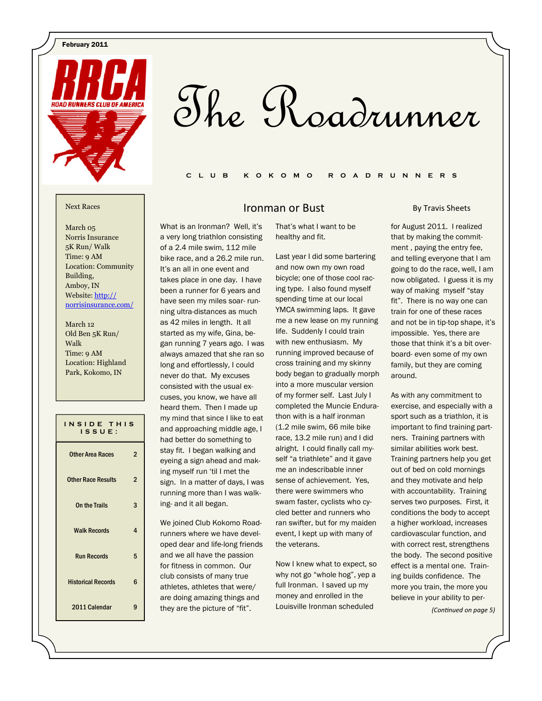February 2011



# The Roadrunner

### C L U B K O K O M O R O A D R U N N E R S

March 05 Norris Insurance 5K Run/ Walk Time: 9 AM Location: Community Building, Amboy, IN Website: http:// norrisinsurance.com/

March 12 Old Ben 5K Run/ Walk Time: 9 AM Location: Highland Park, Kokomo, IN

| INSIDE THIS<br>$IS$ $S$ UE: |                |
|-----------------------------|----------------|
| <b>Other Area Races</b>     | 2              |
| <b>Other Race Results</b>   | $\overline{2}$ |
| On the Trails               | 3              |
| <b>Walk Records</b>         | 4              |
| <b>Run Records</b>          | 5              |
| <b>Historical Records</b>   | 6              |
| 2011 Calendar               |                |

### **IFORD Next Races Next Races**

What is an Ironman? Well, it's a very long triathlon consisting of a 2.4 mile swim, 112 mile bike race, and a 26.2 mile run. It's an all in one event and takes place in one day. I have been a runner for 6 years and have seen my miles soar- running ultra-distances as much as 42 miles in length. It all started as my wife, Gina, began running 7 years ago. I was always amazed that she ran so long and effortlessly, I could never do that. My excuses consisted with the usual excuses, you know, we have all heard them. Then I made up my mind that since I like to eat and approaching middle age, I had better do something to stay fit. I began walking and eyeing a sign ahead and making myself run 'til I met the sign. In a matter of days, I was running more than I was walk-

ing- and it all began.

We joined Club Kokomo Roadrunners where we have developed dear and life-long friends and we all have the passion for fitness in common. Our club consists of many true athletes, athletes that were/ are doing amazing things and they are the picture of "fit".

That's what I want to be healthy and fit.

Last year I did some bartering and now own my own road bicycle; one of those cool racing type. I also found myself spending time at our local YMCA swimming laps. It gave me a new lease on my running life. Suddenly I could train with new enthusiasm. My running improved because of cross training and my skinny body began to gradually morph into a more muscular version of my former self. Last July I completed the Muncie Endurathon with is a half ironman (1.2 mile swim, 66 mile bike race, 13.2 mile run) and I did alright. I could finally call myself "a triathlete" and it gave me an indescribable inner sense of achievement. Yes, there were swimmers who swam faster, cyclists who cycled better and runners who ran swifter, but for my maiden event, I kept up with many of the veterans.

Now I knew what to expect, so why not go "whole hog", yep a full Ironman. I saved up my money and enrolled in the Louisville Ironman scheduled

### By Travis Sheets

for August 2011. I realized that by making the commitment , paying the entry fee, and telling everyone that I am going to do the race, well, I am now obligated. I guess it is my way of making myself "stay fit". There is no way one can train for one of these races and not be in tip-top shape, it's impossible. Yes, there are those that think it's a bit overboard- even some of my own family, but they are coming around.

As with any commitment to exercise, and especially with a sport such as a triathlon, it is important to find training partners. Training partners with similar abilities work best. Training partners help you get out of bed on cold mornings and they motivate and help with accountability. Training serves two purposes. First, it conditions the body to accept a higher workload, increases cardiovascular function, and with correct rest, strengthens the body. The second positive effect is a mental one. Training builds confidence. The more you train, the more you believe in your ability to per-

(Continued on page 5)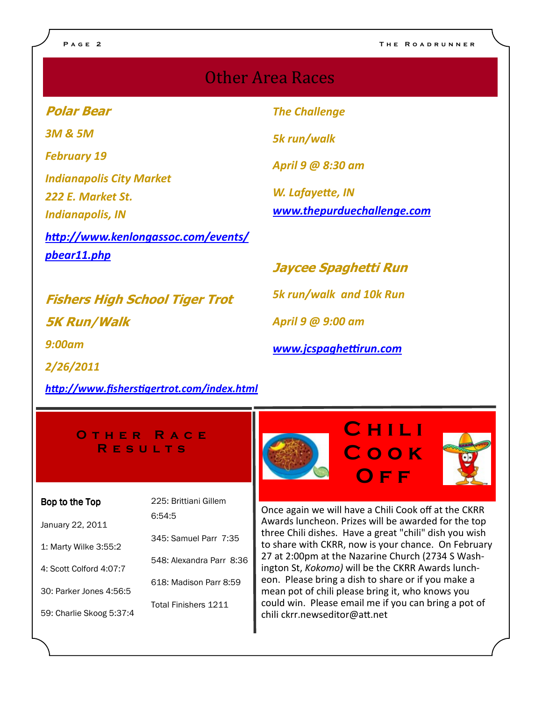## Other Area Races

Polar Bear

3M & 5M

February 19

Indianapolis City Market 222 E. Market St.

Indianapolis, IN

http://www.kenlongassoc.com/events/ pbear11.php

The Challenge

5k run/walk

April 9 @ 8:30 am

W. Lafayette, IN www.thepurduechallenge.com

Fishers High School Tiger Trot 5K Run/Walk 9:00am

http://www.fisherstigertrot.com/index.html

Jaycee Spaghetti Run

5k run/walk and 10k Run

April 9 @ 9:00 am

www.jcspaghettirun.com

O THER RACE **RESULTS** 

### Bop to the Top

2/26/2011

6:54:5

January 22, 2011

1: Marty Wilke 3:55:2

4: Scott Colford 4:07:7

30: Parker Jones 4:56:5

59: Charlie Skoog 5:37:4

225: Brittiani Gillem

- 345: Samuel Parr 7:35
- 548: Alexandra Parr 8:36
- 618: Madison Parr 8:59

Total Finishers 1211

Once again we will have a Chili Cook off at the CKRR Awards luncheon. Prizes will be awarded for the top three Chili dishes. Have a great "chili" dish you wish to share with CKRR, now is your chance. On February 27 at 2:00pm at the Nazarine Church (2734 S Washington St, Kokomo) will be the CKRR Awards luncheon. Please bring a dish to share or if you make a mean pot of chili please bring it, who knows you could win. Please email me if you can bring a pot of chili ckrr.newseditor@att.net

**CHILI** 

C o o k

O f f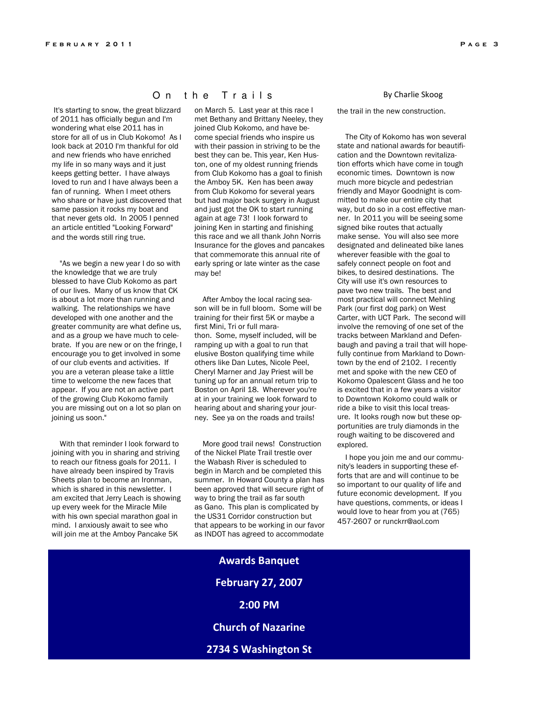It's starting to snow, the great blizzard of 2011 has officially begun and I'm wondering what else 2011 has in store for all of us in Club Kokomo! As I look back at 2010 I'm thankful for old and new friends who have enriched my life in so many ways and it just keeps getting better. I have always loved to run and I have always been a fan of running. When I meet others who share or have just discovered that same passion it rocks my boat and that never gets old. In 2005 I penned an article entitled "Looking Forward"

and the words still ring true.

 "As we begin a new year I do so with the knowledge that we are truly blessed to have Club Kokomo as part of our lives. Many of us know that CK is about a lot more than running and walking. The relationships we have developed with one another and the greater community are what define us, and as a group we have much to celebrate. If you are new or on the fringe, I encourage you to get involved in some of our club events and activities. If you are a veteran please take a little time to welcome the new faces that appear. If you are not an active part of the growing Club Kokomo family you are missing out on a lot so plan on joining us soon."

 With that reminder I look forward to joining with you in sharing and striving to reach our fitness goals for 2011. I have already been inspired by Travis Sheets plan to become an Ironman, which is shared in this newsletter. I am excited that Jerry Leach is showing up every week for the Miracle Mile with his own special marathon goal in mind. I anxiously await to see who will join me at the Amboy Pancake 5K

### On the Trails

on March 5. Last year at this race I met Bethany and Brittany Neeley, they joined Club Kokomo, and have become special friends who inspire us with their passion in striving to be the best they can be. This year, Ken Huston, one of my oldest running friends from Club Kokomo has a goal to finish the Amboy 5K. Ken has been away from Club Kokomo for several years but had major back surgery in August and just got the OK to start running again at age 73! I look forward to joining Ken in starting and finishing this race and we all thank John Norris Insurance for the gloves and pancakes that commemorate this annual rite of early spring or late winter as the case may be!

 After Amboy the local racing season will be in full bloom. Some will be training for their first 5K or maybe a first Mini, Tri or full marathon. Some, myself included, will be ramping up with a goal to run that elusive Boston qualifying time while others like Dan Lutes, Nicole Peel, Cheryl Marner and Jay Priest will be tuning up for an annual return trip to Boston on April 18. Wherever you're at in your training we look forward to hearing about and sharing your journey. See ya on the roads and trails!

 More good trail news! Construction of the Nickel Plate Trail trestle over the Wabash River is scheduled to begin in March and be completed this summer. In Howard County a plan has been approved that will secure right of way to bring the trail as far south as Gano. This plan is complicated by the US31 Corridor construction but that appears to be working in our favor as INDOT has agreed to accommodate

### By Charlie Skoog

the trail in the new construction.

 The City of Kokomo has won several state and national awards for beautification and the Downtown revitalization efforts which have come in tough economic times. Downtown is now much more bicycle and pedestrian friendly and Mayor Goodnight is committed to make our entire city that way, but do so in a cost effective manner. In 2011 you will be seeing some signed bike routes that actually make sense. You will also see more designated and delineated bike lanes wherever feasible with the goal to safely connect people on foot and bikes, to desired destinations. The City will use it's own resources to pave two new trails. The best and most practical will connect Mehling Park (our first dog park) on West Carter, with UCT Park. The second will involve the removing of one set of the tracks between Markland and Defenbaugh and paving a trail that will hopefully continue from Markland to Downtown by the end of 2102. I recently met and spoke with the new CEO of Kokomo Opalescent Glass and he too is excited that in a few years a visitor to Downtown Kokomo could walk or ride a bike to visit this local treasure. It looks rough now but these opportunities are truly diamonds in the rough waiting to be discovered and explored.

 I hope you join me and our community's leaders in supporting these efforts that are and will continue to be so important to our quality of life and future economic development. If you have questions, comments, or ideas I would love to hear from you at (765) 457-2607 or runckrr@aol.com

Awards Banquet February 27, 2007 2:00 PM Church of Nazarine 2734 S Washington St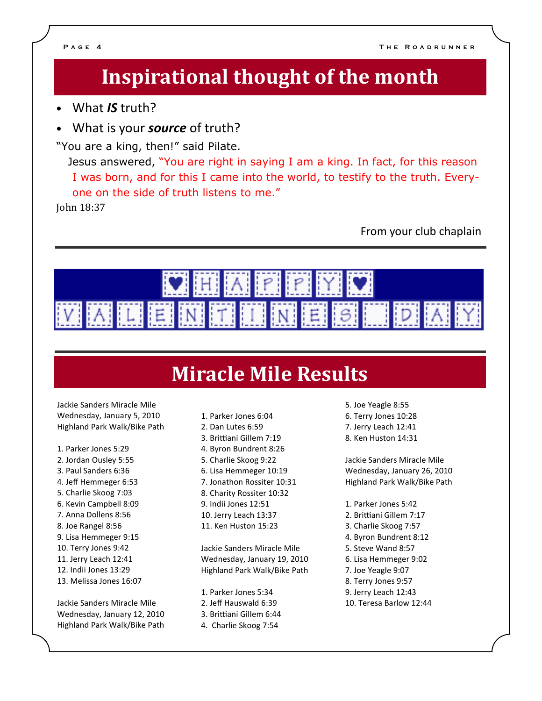## Inspirational thought of the month

- What IS truth?
- What is your **source** of truth?

"You are a king, then!" said Pilate.

 Jesus answered, "You are right in saying I am a king. In fact, for this reason I was born, and for this I came into the world, to testify to the truth. Everyone on the side of truth listens to me."

John 18:37 

From your club chaplain



## **Miracle Mile Results**

Jackie Sanders Miracle Mile Wednesday, January 5, 2010 Highland Park Walk/Bike Path

- 1. Parker Jones 5:29
- 2. Jordan Ousley 5:55
- 3. Paul Sanders 6:36
- 4. Jeff Hemmeger 6:53
- 5. Charlie Skoog 7:03
- 6. Kevin Campbell 8:09
- 7. Anna Dollens 8:56
- 8. Joe Rangel 8:56
- 9. Lisa Hemmeger 9:15
- 10. Terry Jones 9:42
- 11. Jerry Leach 12:41
- 12. Indii Jones 13:29
- 13. Melissa Jones 16:07

Jackie Sanders Miracle Mile Wednesday, January 12, 2010 Highland Park Walk/Bike Path 1. Parker Jones 6:04 2. Dan Lutes 6:59 3. Brittiani Gillem 7:19 4. Byron Bundrent 8:26 5. Charlie Skoog 9:22 6. Lisa Hemmeger 10:19 7. Jonathon Rossiter 10:31 8. Charity Rossiter 10:32 9. Indii Jones 12:51 10. Jerry Leach 13:37 11. Ken Huston 15:23

Jackie Sanders Miracle Mile Wednesday, January 19, 2010 Highland Park Walk/Bike Path

1. Parker Jones 5:34 2. Jeff Hauswald 6:39 3. Brittiani Gillem 6:44 4. Charlie Skoog 7:54

- 5. Joe Yeagle 8:55 6. Terry Jones 10:28
- 7. Jerry Leach 12:41
- 8. Ken Huston 14:31

Jackie Sanders Miracle Mile Wednesday, January 26, 2010 Highland Park Walk/Bike Path

- 1. Parker Jones 5:42
- 2. Brittiani Gillem 7:17
- 3. Charlie Skoog 7:57
- 4. Byron Bundrent 8:12
- 5. Steve Wand 8:57
- 6. Lisa Hemmeger 9:02
- 7. Joe Yeagle 9:07
- 8. Terry Jones 9:57
- 9. Jerry Leach 12:43
- 10. Teresa Barlow 12:44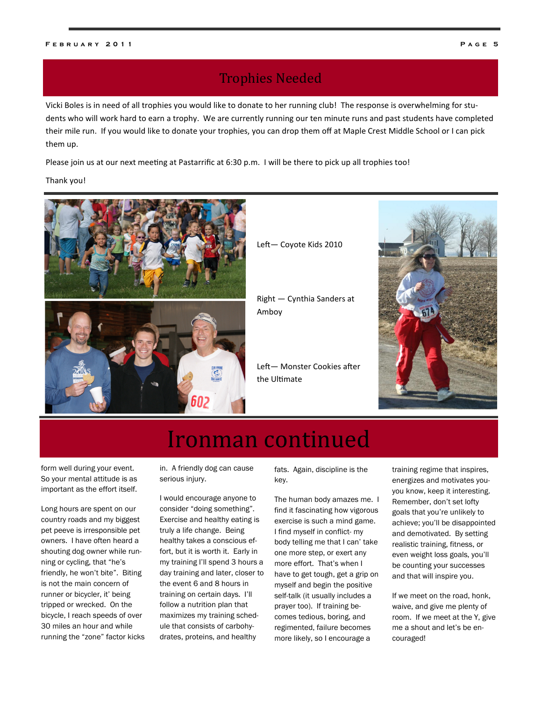## **Trophies Needed**

Vicki Boles is in need of all trophies you would like to donate to her running club! The response is overwhelming for students who will work hard to earn a trophy. We are currently running our ten minute runs and past students have completed their mile run. If you would like to donate your trophies, you can drop them off at Maple Crest Middle School or I can pick them up.

Please join us at our next meeting at Pastarrific at 6:30 p.m. I will be there to pick up all trophies too!

Thank you!





Left- Coyote Kids 2010

Right — Cynthia Sanders at Amboy

Left-Monster Cookies after the Ultimate



## Ironman continued

form well during your event. So your mental attitude is as important as the effort itself.

Long hours are spent on our country roads and my biggest pet peeve is irresponsible pet owners. I have often heard a shouting dog owner while running or cycling, that "he's friendly, he won't bite". Biting is not the main concern of runner or bicycler, it' being tripped or wrecked. On the bicycle, I reach speeds of over 30 miles an hour and while running the "zone" factor kicks in. A friendly dog can cause serious injury.

I would encourage anyone to consider "doing something". Exercise and healthy eating is truly a life change. Being healthy takes a conscious effort, but it is worth it. Early in my training I'll spend 3 hours a day training and later, closer to the event 6 and 8 hours in training on certain days. I'll follow a nutrition plan that maximizes my training schedule that consists of carbohydrates, proteins, and healthy

fats. Again, discipline is the key.

The human body amazes me. I find it fascinating how vigorous exercise is such a mind game. I find myself in conflict- my body telling me that I can' take one more step, or exert any more effort. That's when I have to get tough, get a grip on myself and begin the positive self-talk (it usually includes a prayer too). If training becomes tedious, boring, and regimented, failure becomes more likely, so I encourage a

training regime that inspires, energizes and motivates youyou know, keep it interesting. Remember, don't set lofty goals that you're unlikely to achieve; you'll be disappointed and demotivated. By setting realistic training, fitness, or even weight loss goals, you'll be counting your successes and that will inspire you.

If we meet on the road, honk, waive, and give me plenty of room. If we meet at the Y, give me a shout and let's be encouraged!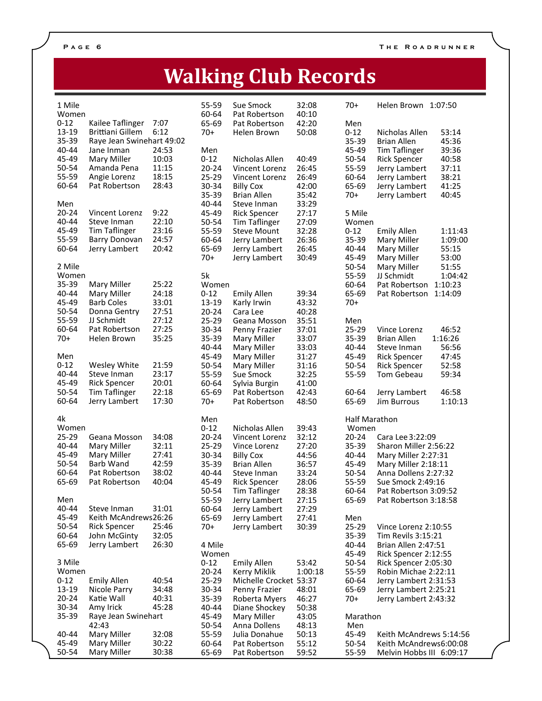## Walking Club Records

| 1 Mile         |                                         |                | 55-59             | Sue Smock              | 32:08          | $70+$                | Helen Brown 1:07:50                                          |
|----------------|-----------------------------------------|----------------|-------------------|------------------------|----------------|----------------------|--------------------------------------------------------------|
| Women          |                                         |                | 60-64             | Pat Robertson          | 40:10          |                      |                                                              |
| $0 - 12$       | Kailee Taflinger                        | 7:07           | 65-69             | Pat Robertson          | 42:20          | Men                  |                                                              |
| 13-19<br>35-39 | Brittiani Gillem                        | 6:12           | $70+$             | Helen Brown            | 50:08          | $0 - 12$             | Nicholas Allen<br>53:14                                      |
| 40-44          | Raye Jean Swinehart 49:02<br>Jane Inman | 24:53          | Men               |                        |                | 35-39<br>45-49       | <b>Brian Allen</b><br>45:36<br><b>Tim Taflinger</b><br>39:36 |
| 45-49          | Mary Miller                             | 10:03          | $0 - 12$          | Nicholas Allen         | 40:49          | 50-54                | 40:58<br><b>Rick Spencer</b>                                 |
| 50-54          | Amanda Pena                             | 11:15          | $20 - 24$         | Vincent Lorenz         | 26:45          | 55-59                | 37:11<br>Jerry Lambert                                       |
| 55-59          | Angie Lorenz                            | 18:15          | 25-29             | Vincent Lorenz         | 26:49          | 60-64                | 38:21<br>Jerry Lambert                                       |
| 60-64          | Pat Robertson                           | 28:43          | 30-34             | <b>Billy Cox</b>       | 42:00          | 65-69                | 41:25<br>Jerry Lambert                                       |
|                |                                         |                | 35-39             | <b>Brian Allen</b>     | 35:42          | $70+$                | 40:45<br>Jerry Lambert                                       |
| Men            |                                         |                | 40-44             | Steve Inman            | 33:29          |                      |                                                              |
| $20 - 24$      | Vincent Lorenz                          | 9:22           | 45-49             | <b>Rick Spencer</b>    | 27:17          | 5 Mile               |                                                              |
| 40-44          | Steve Inman                             | 22:10          | 50-54             | <b>Tim Taflinger</b>   | 27:09          | Women                |                                                              |
| 45-49          | <b>Tim Taflinger</b>                    | 23:16          | 55-59             | <b>Steve Mount</b>     | 32:28          | $0 - 12$             | <b>Emily Allen</b><br>1:11:43                                |
| 55-59          | Barry Donovan                           | 24:57          | 60-64             | Jerry Lambert          | 26:36          | 35-39                | 1:09:00<br>Mary Miller                                       |
| 60-64          | Jerry Lambert                           | 20:42          | 65-69             | Jerry Lambert          | 26:45          | 40-44                | 55:15<br>Mary Miller                                         |
|                |                                         |                | $70+$             | Jerry Lambert          | 30:49          | 45-49                | Mary Miller<br>53:00                                         |
| 2 Mile         |                                         |                |                   |                        |                | 50-54                | Mary Miller<br>51:55                                         |
| Women          |                                         | 25:22          | 5k                |                        |                | 55-59                | JJ Schmidt<br>1:04:42                                        |
| 35-39<br>40-44 | Mary Miller<br>Mary Miller              | 24:18          | Women             | <b>Emily Allen</b>     |                | 60-64<br>65-69       | Pat Robertson<br>1:10:23                                     |
| 45-49          | <b>Barb Coles</b>                       | 33:01          | $0 - 12$<br>13-19 | Karly Irwin            | 39:34<br>43:32 | $70+$                | Pat Robertson<br>1:14:09                                     |
| 50-54          | Donna Gentry                            | 27:51          | $20 - 24$         | Cara Lee               | 40:28          |                      |                                                              |
| 55-59          | JJ Schmidt                              | 27:12          | 25-29             | Geana Mosson           | 35:51          | Men                  |                                                              |
| 60-64          | Pat Robertson                           | 27:25          | 30-34             | Penny Frazier          | 37:01          | 25-29                | 46:52<br>Vince Lorenz                                        |
| $70+$          | Helen Brown                             | 35:25          | 35-39             | Mary Miller            | 33:07          | 35-39                | 1:16:26<br><b>Brian Allen</b>                                |
|                |                                         |                | 40-44             | Mary Miller            | 33:03          | 40-44                | Steve Inman<br>56:56                                         |
| Men            |                                         |                | 45-49             | Mary Miller            | 31:27          | 45-49                | <b>Rick Spencer</b><br>47:45                                 |
| $0 - 12$       | Wesley White                            | 21:59          | 50-54             | Mary Miller            | 31:16          | 50-54                | 52:58<br><b>Rick Spencer</b>                                 |
| 40-44          | Steve Inman                             | 23:17          | 55-59             | Sue Smock              | 32:25          | 55-59                | 59:34<br>Tom Gebeau                                          |
| 45-49          | <b>Rick Spencer</b>                     | 20:01          | 60-64             | Sylvia Burgin          | 41:00          |                      |                                                              |
| 50-54          | <b>Tim Taflinger</b>                    | 22:18          | 65-69             | Pat Robertson          | 42:43          | 60-64                | 46:58<br>Jerry Lambert                                       |
| 60-64          | Jerry Lambert                           | 17:30          | $70+$             | Pat Robertson          | 48:50          | 65-69                | <b>Jim Burrous</b><br>1:10:13                                |
| 4k             |                                         |                | Men               |                        |                | <b>Half Marathon</b> |                                                              |
| Women          |                                         |                | $0 - 12$          | Nicholas Allen         | 39:43          | Women                |                                                              |
| $25 - 29$      | Geana Mosson                            | 34:08          | $20 - 24$         | Vincent Lorenz         | 32:12          | $20 - 24$            | Cara Lee 3:22:09                                             |
| 40-44          | Mary Miller                             | 32:11          | 25-29             | Vince Lorenz           | 27:20          | $35 - 39$            | Sharon Miller 2:56:22                                        |
| 45-49          | Mary Miller                             | 27:41          | 30-34             | <b>Billy Cox</b>       | 44:56          | 40-44                | Mary Miller 2:27:31                                          |
| 50-54          | Barb Wand                               | 42:59          | 35-39             | <b>Brian Allen</b>     | 36:57          | 45-49                | Mary Miller 2:18:11                                          |
| 60-64          | Pat Robertson                           | 38:02          | 40-44             | Steve Inman            | 33:24          | 50-54                | Anna Dollens 2:27:32                                         |
| 65-69          | Pat Robertson                           | 40:04          | 45-49             | <b>Rick Spencer</b>    | 28:06          | 55-59                | Sue Smock 2:49:16                                            |
|                |                                         |                | 50-54             | <b>Tim Taflinger</b>   | 28:38          | 60-64                | Pat Robertson 3:09:52                                        |
| Men            |                                         |                | 55-59             | Jerry Lambert          | 27:15          | 65-69                | Pat Robertson 3:18:58                                        |
| 40-44          | Steve Inman                             | 31:01          | 60-64             | Jerry Lambert          | 27:29          |                      |                                                              |
| 45-49<br>50-54 | Keith McAndrews26:26                    |                | 65-69             | Jerry Lambert          | 27:41          | Men                  |                                                              |
| 60-64          | <b>Rick Spencer</b><br>John McGinty     | 25:46<br>32:05 | $70+$             | Jerry Lambert          | 30:39          | 25-29<br>35-39       | Vince Lorenz 2:10:55<br>Tim Revils 3:15:21                   |
| 65-69          | Jerry Lambert                           | 26:30          | 4 Mile            |                        |                | 40-44                | Brian Allen 2:47:51                                          |
|                |                                         |                | Women             |                        |                | 45-49                | Rick Spencer 2:12:55                                         |
| 3 Mile         |                                         |                | $0 - 12$          | <b>Emily Allen</b>     | 53:42          | 50-54                | Rick Spencer 2:05:30                                         |
| Women          |                                         |                | $20 - 24$         | Kerry Miklik           | 1:00:18        | 55-59                | Robin Michae 2:22:11                                         |
| $0 - 12$       | <b>Emily Allen</b>                      | 40:54          | 25-29             | Michelle Crocket 53:37 |                | 60-64                | Jerry Lambert 2:31:53                                        |
| 13-19          | Nicole Parry                            | 34:48          | 30-34             | Penny Frazier          | 48:01          | 65-69                | Jerry Lambert 2:25:21                                        |
| $20 - 24$      | Katie Wall                              | 40:31          | 35-39             | Roberta Myers          | 46:27          | $70+$                | Jerry Lambert 2:43:32                                        |
| 30-34          | Amy Irick                               | 45:28          | 40-44             | Diane Shockey          | 50:38          |                      |                                                              |
| 35-39          | Raye Jean Swinehart                     |                | 45-49             | Mary Miller            | 43:05          | Marathon             |                                                              |
|                | 42:43                                   |                | 50-54             | Anna Dollens           | 48:13          | Men                  |                                                              |
| 40-44          | Mary Miller                             | 32:08          | 55-59             | Julia Donahue          | 50:13          | 45-49                | Keith McAndrews 5:14:56                                      |
| 45-49<br>50-54 | Mary Miller<br>Mary Miller              | 30:22<br>30:38 | 60-64             | Pat Robertson          | 55:12<br>59:52 | 50-54<br>55-59       | Keith McAndrews6:00:08                                       |
|                |                                         |                | 65-69             | Pat Robertson          |                |                      | Melvin Hobbs III 6:09:17                                     |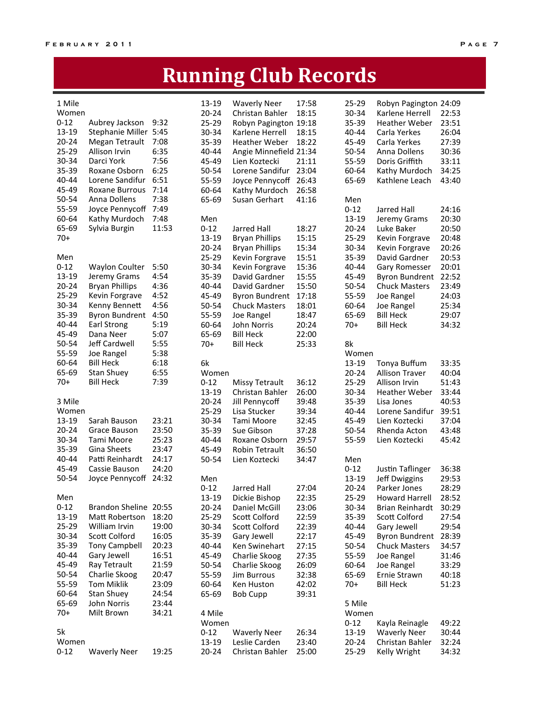## **Running Club Records**

| 1 Mile    |                       |       | 13-19     | <b>Waverly Neer</b>    | 17:58 | 25-29     | Robyn Pagington 24:09  |       |
|-----------|-----------------------|-------|-----------|------------------------|-------|-----------|------------------------|-------|
| Women     |                       |       | $20 - 24$ | Christan Bahler        | 18:15 | 30-34     | Karlene Herrell        | 22:53 |
| $0 - 12$  | Aubrey Jackson        | 9:32  | 25-29     | Robyn Pagington 19:18  |       | 35-39     | <b>Heather Weber</b>   | 23:51 |
| 13-19     | Stephanie Miller 5:45 |       | 30-34     | Karlene Herrell        | 18:15 | 40-44     | Carla Yerkes           | 26:04 |
| $20 - 24$ | Megan Tetrault        | 7:08  | 35-39     | <b>Heather Weber</b>   | 18:22 | 45-49     | Carla Yerkes           | 27:39 |
| 25-29     | Allison Irvin         | 6:35  | 40-44     | Angie Minnefield 21:34 |       | 50-54     | Anna Dollens           | 30:36 |
| 30-34     | Darci York            | 7:56  | 45-49     | Lien Koztecki          | 21:11 | 55-59     | Doris Griffith         | 33:11 |
| 35-39     | Roxane Osborn         | 6:25  | 50-54     | Lorene Sandifur        | 23:04 | 60-64     | Kathy Murdoch          | 34:25 |
| 40-44     | Lorene Sandifur       | 6:51  | 55-59     |                        | 26:43 | 65-69     | Kathlene Leach         | 43:40 |
| 45-49     | <b>Roxane Burrous</b> | 7:14  |           | Joyce Pennycoff        |       |           |                        |       |
|           |                       |       | 60-64     | Kathy Murdoch          | 26:58 |           |                        |       |
| 50-54     | Anna Dollens          | 7:38  | 65-69     | Susan Gerhart          | 41:16 | Men       |                        |       |
| 55-59     | Joyce Pennycoff       | 7:49  |           |                        |       | $0 - 12$  | Jarred Hall            | 24:16 |
| 60-64     | Kathy Murdoch         | 7:48  | Men       |                        |       | 13-19     | Jeremy Grams           | 20:30 |
| 65-69     | Sylvia Burgin         | 11:53 | $0 - 12$  | Jarred Hall            | 18:27 | $20 - 24$ | Luke Baker             | 20:50 |
| $70+$     |                       |       | 13-19     | <b>Bryan Phillips</b>  | 15:15 | 25-29     | Kevin Forgrave         | 20:48 |
|           |                       |       | $20 - 24$ | <b>Bryan Phillips</b>  | 15:34 | 30-34     | Kevin Forgrave         | 20:26 |
| Men       |                       |       | 25-29     | Kevin Forgrave         | 15:51 | 35-39     | David Gardner          | 20:53 |
| $0 - 12$  | <b>Waylon Coulter</b> | 5:50  | 30-34     | Kevin Forgrave         | 15:36 | 40-44     | Gary Romesser          | 20:01 |
| 13-19     | Jeremy Grams          | 4:54  | $35 - 39$ | David Gardner          | 15:55 | 45-49     | <b>Byron Bundrent</b>  | 22:52 |
| $20 - 24$ | <b>Bryan Phillips</b> | 4:36  | 40-44     | David Gardner          | 15:50 | 50-54     | <b>Chuck Masters</b>   | 23:49 |
| 25-29     | Kevin Forgrave        | 4:52  | 45-49     | <b>Byron Bundrent</b>  | 17:18 | 55-59     | Joe Rangel             | 24:03 |
| 30-34     | Kenny Bennett         | 4:56  | 50-54     | <b>Chuck Masters</b>   | 18:01 | 60-64     | Joe Rangel             | 25:34 |
| 35-39     | <b>Byron Bundrent</b> | 4:50  | 55-59     | Joe Rangel             | 18:47 | 65-69     | <b>Bill Heck</b>       | 29:07 |
| 40-44     |                       |       |           |                        | 20:24 |           |                        |       |
| 45-49     | <b>Earl Strong</b>    | 5:19  | 60-64     | John Norris            |       | $70+$     | <b>Bill Heck</b>       | 34:32 |
|           | Dana Neer             | 5:07  | 65-69     | <b>Bill Heck</b>       | 22:00 |           |                        |       |
| 50-54     | Jeff Cardwell         | 5:55  | $70+$     | <b>Bill Heck</b>       | 25:33 | 8k        |                        |       |
| 55-59     | Joe Rangel            | 5:38  |           |                        |       | Women     |                        |       |
| 60-64     | <b>Bill Heck</b>      | 6:18  | 6k        |                        |       | 13-19     | Tonya Buffum           | 33:35 |
| 65-69     | <b>Stan Shuey</b>     | 6:55  | Women     |                        |       | $20 - 24$ | <b>Allison Traver</b>  | 40:04 |
| $70+$     | <b>Bill Heck</b>      | 7:39  | $0 - 12$  | Missy Tetrault         | 36:12 | $25 - 29$ | Allison Irvin          | 51:43 |
|           |                       |       | $13 - 19$ | Christan Bahler        | 26:00 | 30-34     | <b>Heather Weber</b>   | 33:44 |
| 3 Mile    |                       |       | $20 - 24$ | Jill Pennycoff         | 39:48 | 35-39     | Lisa Jones             | 40:53 |
| Women     |                       |       | 25-29     | Lisa Stucker           | 39:34 | 40-44     | Lorene Sandifur        | 39:51 |
| 13-19     | Sarah Bauson          | 23:21 | 30-34     | Tami Moore             | 32:45 | 45-49     | Lien Koztecki          | 37:04 |
| $20 - 24$ | Grace Bauson          | 23:50 | $35 - 39$ | Sue Gibson             | 37:28 | 50-54     | Rhenda Acton           | 43:48 |
| 30-34     | Tami Moore            | 25:23 | 40-44     | Roxane Osborn          | 29:57 | 55-59     | Lien Koztecki          | 45:42 |
| 35-39     | Gina Sheets           | 23:47 | 45-49     | <b>Robin Tetrault</b>  | 36:50 |           |                        |       |
| 40-44     | Patti Reinhardt       | 24:17 | 50-54     | Lien Koztecki          | 34:47 | Men       |                        |       |
| 45-49     | Cassie Bauson         | 24:20 |           |                        |       | $0 - 12$  | Justin Taflinger       | 36:38 |
| 50-54     |                       | 24:32 |           |                        |       |           |                        |       |
|           | Joyce Pennycoff       |       | Men       |                        |       | 13-19     | Jeff Dwiggins          | 29:53 |
|           |                       |       | $0 - 12$  | Jarred Hall            | 27:04 | $20 - 24$ | Parker Jones           | 28:29 |
| Men       |                       |       | 13-19     | Dickie Bishop          | 22:35 | 25-29     | Howard Harrell         | 28:52 |
| $0 - 12$  | Brandon Sheline 20:55 |       | $20 - 24$ | Daniel McGill          | 23:06 | 30-34     | <b>Brian Reinhardt</b> | 30:29 |
| 13-19     | Matt Robertson        | 18:20 | 25-29     | Scott Colford          | 22:59 | 35-39     | Scott Colford          | 27:54 |
| 25-29     | William Irvin         | 19:00 | 30-34     | Scott Colford          | 22:39 | 40-44     | Gary Jewell            | 29:54 |
| 30-34     | Scott Colford         | 16:05 | $35 - 39$ | Gary Jewell            | 22:17 | 45-49     | <b>Byron Bundrent</b>  | 28:39 |
| 35-39     | <b>Tony Campbell</b>  | 20:23 | 40-44     | Ken Swinehart          | 27:15 | 50-54     | <b>Chuck Masters</b>   | 34:57 |
| $40 - 44$ | Gary Jewell           | 16:51 | 45-49     | Charlie Skoog          | 27:35 | 55-59     | Joe Rangel             | 31:46 |
| 45-49     | Ray Tetrault          | 21:59 | 50-54     | Charlie Skoog          | 26:09 | 60-64     | Joe Rangel             | 33:29 |
| 50-54     | Charlie Skoog         | 20:47 | 55-59     | <b>Jim Burrous</b>     | 32:38 | 65-69     | Ernie Strawn           | 40:18 |
| 55-59     | <b>Tom Miklik</b>     | 23:09 | 60-64     | Ken Huston             | 42:02 | $70+$     | <b>Bill Heck</b>       | 51:23 |
| 60-64     | Stan Shuey            | 24:54 | 65-69     | <b>Bob Cupp</b>        | 39:31 |           |                        |       |
| 65-69     | John Norris           | 23:44 |           |                        |       | 5 Mile    |                        |       |
| $70+$     | Milt Brown            | 34:21 | 4 Mile    |                        |       | Women     |                        |       |
|           |                       |       |           |                        |       |           |                        |       |
|           |                       |       | Women     |                        |       | $0 - 12$  | Kayla Reinagle         | 49:22 |
| 5k        |                       |       | $0 - 12$  | <b>Waverly Neer</b>    | 26:34 | 13-19     | <b>Waverly Neer</b>    | 30:44 |
| Women     |                       |       | 13-19     | Leslie Carden          | 23:40 | $20 - 24$ | Christan Bahler        | 32:24 |
| $0 - 12$  | <b>Waverly Neer</b>   | 19:25 | $20 - 24$ | Christan Bahler        | 25:00 | 25-29     | Kelly Wright           | 34:32 |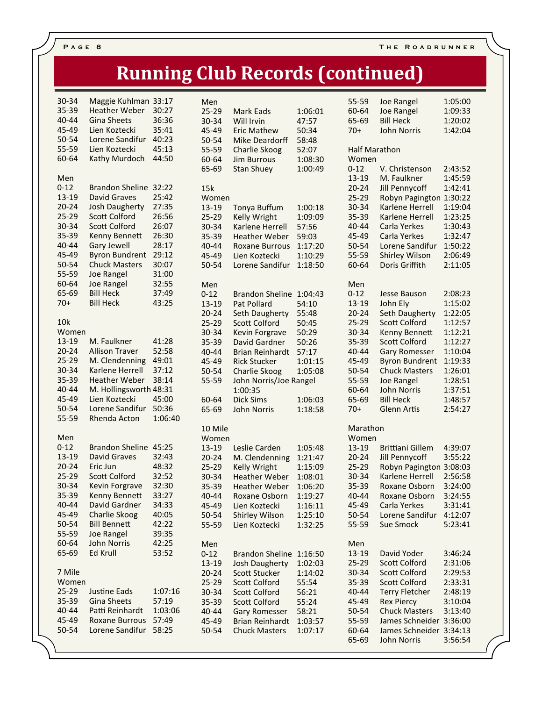## **Running Club Records (continued)**

| 30-34<br>35-39<br>40-44<br>45-49<br>50-54<br>55-59<br>60-64                                                                                 | Maggie Kuhlman<br><b>Heather Weber</b><br><b>Gina Sheets</b><br>Lien Koztecki<br>Lorene Sandifur<br>Lien Koztecki<br>Kathy Murdoch                                                                                                                                                        | 33:17<br>30:27<br>36:36<br>35:41<br>40:23<br>45:13<br>44:50                                                       |
|---------------------------------------------------------------------------------------------------------------------------------------------|-------------------------------------------------------------------------------------------------------------------------------------------------------------------------------------------------------------------------------------------------------------------------------------------|-------------------------------------------------------------------------------------------------------------------|
| Men<br>$0 - 12$<br>$13 - 19$<br>$20 - 24$<br>$25 - 29$<br>$30 - 34$<br>35-39<br>40-44<br>45-49<br>50-54<br>55-59<br>60-64<br>65-69<br>$70+$ | <b>Brandon Sheline</b><br><b>David Graves</b><br><b>Josh Daugherty</b><br><b>Scott Colford</b><br><b>Scott Colford</b><br>Kenny Bennett<br><b>Gary Jewell</b><br><b>Byron Bundrent</b><br><b>Chuck Masters</b><br><b>Joe Rangel</b><br>Joe Rangel<br><b>Bill Heck</b><br><b>Bill Heck</b> | 32:22<br>25:42<br>27:35<br>26:56<br>26:07<br>26:30<br>28:17<br>29:12<br>30:07<br>31:00<br>32:55<br>37:49<br>43:25 |
| 10 <sub>k</sub><br>Women<br>$13 - 19$<br>$20 - 24$<br>$25 - 29$<br>30-34<br>35-39<br>40-44<br>45-49<br>50-54<br>55-59                       | M. Faulkner<br><b>Allison Traver</b><br>M. Clendenning<br>Karlene Herrell<br><b>Heather Weber</b><br>M. Hollingsworth<br>Lien Koztecki<br>Lorene Sandifur<br>Rhenda Acton                                                                                                                 | 41:28<br>52:58<br>49:01<br>37:12<br>38:14<br>48:31<br>45:00<br>50:36<br>1:06:40                                   |
| Men<br>$0 - 12$<br>$13 - 19$<br>$20 - 24$<br>$25 - 29$<br>30-34<br>35-39<br>40-44<br>45-49<br>50-54<br>55-59<br>60-64<br>65-69              | <b>Brandon Sheline</b><br><b>David Graves</b><br>Eric Jun<br><b>Scott Colford</b><br>Kevin Forgrave<br>Kenny Bennett<br>David Gardner<br>Charlie Skoog<br><b>Bill Bennett</b><br><b>Joe Rangel</b><br><b>John Norris</b><br><b>Ed Krull</b>                                               | 45:25<br>32:43<br>48:32<br>32:52<br>32:30<br>33:27<br>34:33<br>40:05<br>42:22<br>39:35<br>42:25<br>53:52          |
| 7 Mile<br>Women<br>25-29<br>35-39<br>40-44<br>45-49<br>$50 - 54$                                                                            | <b>Justine Eads</b><br><b>Gina Sheets</b><br>Patti Reinhardt<br><b>Roxane Burrous</b><br>Lorene Sandifur                                                                                                                                                                                  | 1:07:16<br>57:19<br>1:03:06<br>57:49<br>58:25                                                                     |

| Men<br>25-29<br>30-34<br>45-49<br>50-54<br>55-59<br>60-64<br>65-69                                                         | Mark Eads<br>Will Irvin<br><b>Eric Mathew</b><br><b>Mike Deardorff</b><br>Charlie Skoog<br><b>Jim Burrous</b><br><b>Stan Shuey</b>                                                                                                                                         | 1:06:01<br>47:57<br>50:34<br>58:48<br>52:07<br>1:08:30<br>1:00:49                                         |
|----------------------------------------------------------------------------------------------------------------------------|----------------------------------------------------------------------------------------------------------------------------------------------------------------------------------------------------------------------------------------------------------------------------|-----------------------------------------------------------------------------------------------------------|
| 15k<br>Women<br>13-19<br>25-29<br>30-34<br>35-39<br>40-44<br>45-49<br>50-54                                                | <b>Tonya Buffum</b><br>Kelly Wright<br>Karlene Herrell<br><b>Heather Weber</b><br><b>Roxane Burrous</b><br>Lien Koztecki<br>Lorene Sandifur                                                                                                                                | 1:00:18<br>1:09:09<br>57:56<br>59:03<br>1:17:20<br>1:10:29<br>1:18:50                                     |
| Men<br>$0 - 12$<br>13-19<br>$20 - 24$<br>$25 - 29$<br>30-34<br>35-39<br>40-44<br>45-49<br>50-54<br>55-59<br>60-64<br>65-69 | <b>Brandon Sheline</b><br>Pat Pollard<br>Seth Daugherty<br><b>Scott Colford</b><br><b>Kevin Forgrave</b><br>David Gardner<br><b>Brian Reinhardt</b><br><b>Rick Stucker</b><br>Charlie Skoog<br>John Norris/Joe Rangel<br>1:00:35<br><b>Dick Sims</b><br><b>John Norris</b> | 1:04:43<br>54:10<br>55:48<br>50:45<br>50:29<br>50:26<br>57:17<br>1:01:15<br>1:05:08<br>1:06:03<br>1:18:58 |
| 10 Mile<br>Women<br>13-19<br>$20 - 24$<br>25-29<br>30-34<br>35-39<br>40-44<br>45-49<br>$50 - 54$<br>55-59                  | Leslie Carden<br>M. Clendenning<br><b>Kelly Wright</b><br><b>Heather Weber</b><br><b>Heather Weber</b><br>Roxane Osborn<br>Lien Koztecki<br>Shirley Wilson<br>Lien Koztecki                                                                                                | 1:05:48<br>1:21:47<br>1:15:09<br>1:08:01<br>1:06:20<br>1:19:27<br>1:16:11<br>1:25:10<br>1:32:25           |
| Men<br>$0 - 12$<br>13-19<br>20-24<br>25-29<br>30-34<br>35-39<br>40-44<br>45-49<br>50-54                                    | <b>Brandon Sheline</b><br>Josh Daugherty<br><b>Scott Stucker</b><br><b>Scott Colford</b><br>Scott Colford<br>Scott Colford<br><b>Gary Romesser</b><br><b>Brian Reinhardt</b><br><b>Chuck Masters</b>                                                                       | 1:16:50<br>1:02:03<br>1:14:02<br>55:54<br>56:21<br>55:24<br>58:21<br>1:03:57<br>1:07:17                   |

| 55-59                | Joe Rangel             | 1:05:00 |
|----------------------|------------------------|---------|
| 60-64                | <b>Joe Rangel</b>      | 1:09:33 |
| 65-69                | <b>Bill Heck</b>       | 1:20:02 |
|                      |                        |         |
| $70+$                | <b>John Norris</b>     | 1:42:04 |
| <b>Half Marathon</b> |                        |         |
| Women                |                        |         |
|                      |                        |         |
| $0 - 12$             | V. Christenson         | 2:43:52 |
| 13-19                | M. Faulkner            | 1:45:59 |
| $20 - 24$            | <b>Jill Pennycoff</b>  | 1:42:41 |
| 25-29                | <b>Robyn Pagington</b> | 1:30:22 |
| 30-34                | <b>Karlene Herrell</b> | 1:19:04 |
| 35-39                | Karlene Herrell        | 1:23:25 |
| 40-44                | Carla Yerkes           | 1:30:43 |
| 45-49                | Carla Yerkes           | 1:32:47 |
| $50 - 54$            | Lorene Sandifur        | 1:50:22 |
| 55-59                | <b>Shirley Wilson</b>  | 2:06:49 |
| 60-64                | Doris Griffith         | 2:11:05 |
|                      |                        |         |
| Men                  |                        |         |
| $0 - 12$             | <b>Jesse Bauson</b>    | 2:08:23 |
| 13-19                | John Ely               | 1:15:02 |
| $20 - 24$            | Seth Daugherty         | 1:22:05 |
| $25 - 29$            | Scott Colford          | 1:12:57 |
|                      |                        | 1:12:21 |
| 30-34                | Kenny Bennett          |         |
| 35-39                | <b>Scott Colford</b>   | 1:12:27 |
| 40-44                | <b>Gary Romesser</b>   | 1:10:04 |
| 45-49                | <b>Byron Bundrent</b>  | 1:19:33 |
| 50-54                | <b>Chuck Masters</b>   | 1:26:01 |
| 55-59                | <b>Joe Rangel</b>      | 1:28:51 |
| 60-64                | <b>John Norris</b>     | 1:37:51 |
| 65-69                | <b>Bill Heck</b>       | 1:48:57 |
| $70+$                | <b>Glenn Artis</b>     | 2:54:27 |
|                      |                        |         |
| Marathon             |                        |         |
| Women                |                        |         |
| 13-19                | Brittiani Gillem       | 4:39:07 |
| $20 - 24$            | <b>Jill Pennycoff</b>  | 3:55:22 |
| $25 - 29$            | Robyn Pagington        | 3:08:03 |
| 30-34                | Karlene Herrell        | 2:56:58 |
| 35-39                | <b>Roxane Osborn</b>   | 3:24:00 |
| $40 - 44$            | Roxane Osborn          | 3:24:55 |
| 45-49                | Carla Yerkes           | 3:31:41 |
| 50-54                | Lorene Sandifur        | 4:12:07 |
| 55-59                | <b>Sue Smock</b>       | 5:23:41 |
|                      |                        |         |
| Men                  |                        |         |
| 13-19                | David Yoder            | 3:46:24 |
| 25-29                | Scott Colford          | 2:31:06 |
| 30-34                | Scott Colford          | 2:29:53 |
| 35-39                | Scott Colford          | 2:33:31 |
| 40-44                | <b>Terry Fletcher</b>  | 2:48:19 |
| 45-49                | <b>Rex Piercy</b>      | 3:10:04 |
| 50-54                | <b>Chuck Masters</b>   | 3:13:40 |
| 55-59                | James Schneider        | 3:36:00 |
| 60-64                | James Schneider        | 3:34:13 |
| 65-69                | <b>John Norris</b>     | 3:56:54 |
|                      |                        |         |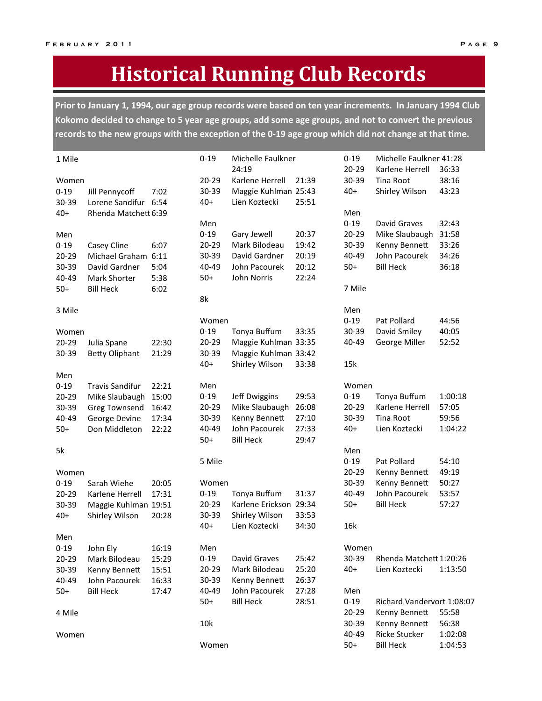## **Historical Running Club Records**

Prior to January 1, 1994, our age group records were based on ten year increments. In January 1994 Club Kokomo decided to change to 5 year age groups, add some age groups, and not to convert the previous records to the new groups with the exception of the 0-19 age group which did not change at that time.

| 1 Mile   |                        |       | $0 - 19$ | Michelle Faulkner<br>24:19 |       | $0 - 19$  | Michelle Faulkner 41:28    |         |
|----------|------------------------|-------|----------|----------------------------|-------|-----------|----------------------------|---------|
|          |                        |       |          |                            |       | $20 - 29$ | Karlene Herrell            | 36:33   |
| Women    |                        |       | 20-29    | Karlene Herrell            | 21:39 | 30-39     | Tina Root                  | 38:16   |
| $0 - 19$ | Jill Pennycoff         | 7:02  | 30-39    | Maggie Kuhlman 25:43       |       | $40+$     | Shirley Wilson             | 43:23   |
| 30-39    | Lorene Sandifur 6:54   |       | $40+$    | Lien Koztecki              | 25:51 |           |                            |         |
| $40+$    | Rhenda Matchett 6:39   |       |          |                            |       | Men       |                            |         |
|          |                        |       | Men      |                            |       | $0 - 19$  | David Graves               | 32:43   |
| Men      |                        |       | $0 - 19$ | Gary Jewell                | 20:37 | $20 - 29$ | Mike Slaubaugh             | 31:58   |
| $0 - 19$ | Casey Cline            | 6:07  | 20-29    | Mark Bilodeau              | 19:42 | 30-39     | Kenny Bennett              | 33:26   |
| 20-29    | Michael Graham 6:11    |       | 30-39    | David Gardner              | 20:19 | 40-49     | John Pacourek              | 34:26   |
| 30-39    | David Gardner          | 5:04  | 40-49    | John Pacourek              | 20:12 | $50+$     | <b>Bill Heck</b>           | 36:18   |
| 40-49    | Mark Shorter           | 5:38  | $50+$    | John Norris                | 22:24 |           |                            |         |
| $50+$    | <b>Bill Heck</b>       | 6:02  |          |                            |       | 7 Mile    |                            |         |
|          |                        |       | 8k       |                            |       |           |                            |         |
| 3 Mile   |                        |       |          |                            |       | Men       |                            |         |
|          |                        |       | Women    |                            |       | $0 - 19$  | Pat Pollard                | 44:56   |
| Women    |                        |       | $0 - 19$ | Tonya Buffum               | 33:35 | 30-39     | David Smiley               | 40:05   |
| 20-29    | Julia Spane            | 22:30 | 20-29    | Maggie Kuhlman 33:35       |       | 40-49     | George Miller              | 52:52   |
| 30-39    | <b>Betty Oliphant</b>  | 21:29 | 30-39    | Maggie Kuhlman 33:42       |       |           |                            |         |
|          |                        |       | $40+$    | Shirley Wilson             | 33:38 | 15k       |                            |         |
| Men      |                        |       |          |                            |       |           |                            |         |
| $0 - 19$ | <b>Travis Sandifur</b> | 22:21 | Men      |                            |       | Women     |                            |         |
| 20-29    | Mike Slaubaugh         | 15:00 | $0 - 19$ | Jeff Dwiggins              | 29:53 | $0 - 19$  | Tonya Buffum               | 1:00:18 |
| 30-39    | Greg Townsend          | 16:42 | 20-29    | Mike Slaubaugh             | 26:08 | $20 - 29$ | Karlene Herrell            | 57:05   |
| 40-49    | George Devine          | 17:34 | 30-39    | Kenny Bennett              | 27:10 | 30-39     | Tina Root                  | 59:56   |
| $50+$    | Don Middleton          | 22:22 | 40-49    | John Pacourek              | 27:33 | $40+$     | Lien Koztecki              | 1:04:22 |
|          |                        |       | $50+$    | <b>Bill Heck</b>           | 29:47 |           |                            |         |
| 5k       |                        |       |          |                            |       | Men       |                            |         |
|          |                        |       | 5 Mile   |                            |       | $0 - 19$  | Pat Pollard                | 54:10   |
| Women    |                        |       |          |                            |       | $20 - 29$ | Kenny Bennett              | 49:19   |
| $0 - 19$ | Sarah Wiehe            | 20:05 | Women    |                            |       | 30-39     | Kenny Bennett              | 50:27   |
| 20-29    | Karlene Herrell        | 17:31 | $0 - 19$ | Tonya Buffum               | 31:37 | 40-49     | John Pacourek              | 53:57   |
| 30-39    | Maggie Kuhlman 19:51   |       | 20-29    | Karlene Erickson 29:34     |       | $50+$     | <b>Bill Heck</b>           | 57:27   |
| $40+$    |                        | 20:28 | 30-39    | Shirley Wilson             | 33:53 |           |                            |         |
|          | Shirley Wilson         |       | $40+$    | Lien Koztecki              | 34:30 | 16k       |                            |         |
|          |                        |       |          |                            |       |           |                            |         |
| Men      |                        |       |          |                            |       |           |                            |         |
| $0 - 19$ | John Ely               | 16:19 | Men      |                            |       | Women     |                            |         |
| 20-29    | Mark Bilodeau          | 15:29 | $0 - 19$ | David Graves               | 25:42 | 30-39     | Rhenda Matchett 1:20:26    |         |
| 30-39    | Kenny Bennett          | 15:51 | 20-29    | Mark Bilodeau              | 25:20 | $40+$     | Lien Koztecki              | 1:13:50 |
| 40-49    | John Pacourek          | 16:33 | 30-39    | Kenny Bennett              | 26:37 |           |                            |         |
| $50+$    | <b>Bill Heck</b>       | 17:47 | 40-49    | John Pacourek              | 27:28 | Men       |                            |         |
|          |                        |       | $50+$    | <b>Bill Heck</b>           | 28:51 | $0 - 19$  | Richard Vandervort 1:08:07 |         |
| 4 Mile   |                        |       |          |                            |       | 20-29     | Kenny Bennett              | 55:58   |
|          |                        |       | 10k      |                            |       | 30-39     | Kenny Bennett              | 56:38   |
| Women    |                        |       |          |                            |       | 40-49     | <b>Ricke Stucker</b>       | 1:02:08 |
|          |                        |       | Women    |                            |       | $50+$     | <b>Bill Heck</b>           | 1:04:53 |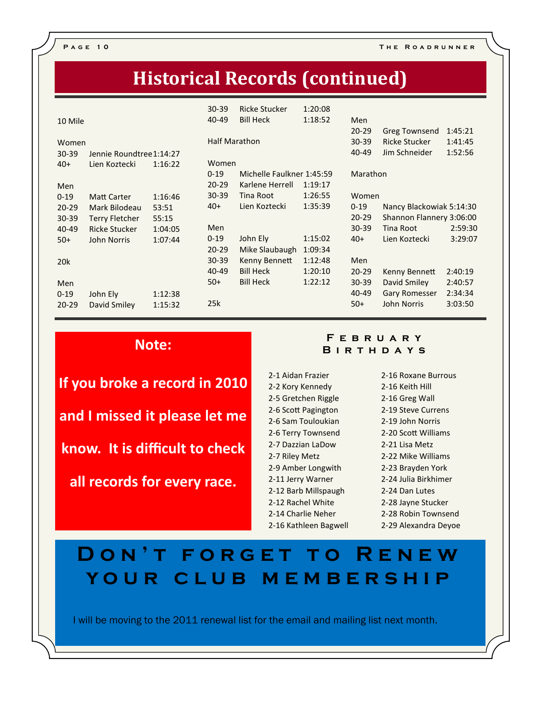P A G E 10 THE ROADRUNNER

## **Historical Records (continued)**

| 10 Mile         |                          |         | $30 - 39$<br>40-49 | <b>Ricke Stucker</b><br><b>Bill Heck</b> | 1:20:08<br>1:18:52 | Men<br>$20 - 29$ | <b>Greg Townsend</b>     | 1:45:21 |
|-----------------|--------------------------|---------|--------------------|------------------------------------------|--------------------|------------------|--------------------------|---------|
| Women           |                          |         |                    | <b>Half Marathon</b>                     |                    | $30 - 39$        | <b>Ricke Stucker</b>     | 1:41:45 |
| $30 - 39$       | Jennie Roundtree 1:14:27 |         |                    |                                          |                    | 40-49            | Jim Schneider            | 1:52:56 |
| $40+$           | Lien Koztecki            | 1:16:22 | Women              |                                          |                    |                  |                          |         |
|                 |                          |         | $0 - 19$           | Michelle Faulkner 1:45:59                |                    | Marathon         |                          |         |
| Men             |                          |         | $20 - 29$          | Karlene Herrell                          | 1:19:17            |                  |                          |         |
| $0 - 19$        | <b>Matt Carter</b>       | 1:16:46 | $30 - 39$          | Tina Root                                | 1:26:55            | Women            |                          |         |
| $20 - 29$       | Mark Bilodeau            | 53:51   | $40+$              | Lien Koztecki                            | 1:35:39            | $0 - 19$         | Nancy Blackowiak 5:14:30 |         |
| 30-39           | <b>Terry Fletcher</b>    | 55:15   |                    |                                          |                    | $20 - 29$        | Shannon Flannery 3:06:00 |         |
| 40-49           | <b>Ricke Stucker</b>     | 1:04:05 | Men                |                                          |                    | $30 - 39$        | Tina Root                | 2:59:30 |
| $50+$           | <b>John Norris</b>       | 1:07:44 | $0 - 19$           | John Ely                                 | 1:15:02            | $40+$            | Lien Koztecki            | 3:29:07 |
|                 |                          |         | $20 - 29$          | Mike Slaubaugh                           | 1:09:34            |                  |                          |         |
| 20 <sub>k</sub> |                          |         | $30 - 39$          | Kenny Bennett                            | 1:12:48            | Men              |                          |         |
|                 |                          |         | 40-49              | <b>Bill Heck</b>                         | 1:20:10            | $20 - 29$        | Kenny Bennett            | 2:40:19 |
| Men             |                          |         | $50+$              | <b>Bill Heck</b>                         | 1:22:12            | $30 - 39$        | David Smiley             | 2:40:57 |
| $0 - 19$        | John Ely                 | 1:12:38 |                    |                                          |                    | 40-49            | <b>Gary Romesser</b>     | 2:34:34 |
| $20 - 29$       | David Smiley             | 1:15:32 | 25k                |                                          |                    | $50+$            | <b>John Norris</b>       | 3:03:50 |

### Note:

If you broke a record in 2010 and I missed it please let me know. It is difficult to check all records for every race.

### F E B R U A R Y **BIRTHDAYS**

2-1 Aidan Frazier 2-2 Kory Kennedy 2-5 Gretchen Riggle 2-6 Scott Pagington 2-6 Sam Touloukian 2-6 Terry Townsend 2-7 Dazzian LaDow 2-7 Riley Metz 2-9 Amber Longwith 2-11 Jerry Warner 2-12 Barb Millspaugh 2-12 Rachel White 2-14 Charlie Neher 2-16 Kathleen Bagwell 2-16 Roxane Burrous 2-16 Keith Hill 2-16 Greg Wall 2-19 Steve Currens 2-19 John Norris 2-20 Scott Williams 2-21 Lisa Metz 2-22 Mike Williams 2-23 Brayden York 2-24 Julia Birkhimer 2-24 Dan Lutes 2-28 Jayne Stucker 2-28 Robin Townsend 2-29 Alexandra Deyoe

## DON'T FORGET TO RENEW YOUR CLUB MEMBERSHIP

I will be moving to the 2011 renewal list for the email and mailing list next month.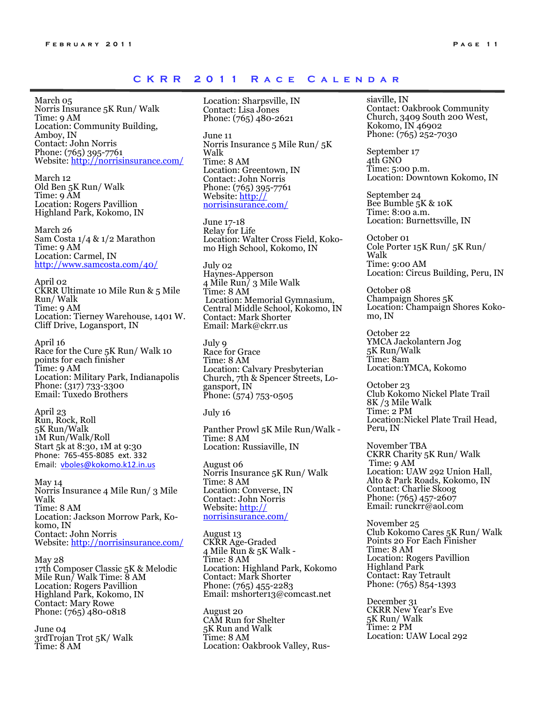### CKRR 2011 RACE CALENDAR

March 05 Norris Insurance 5K Run/ Walk Time: 9 AM Location: Community Building, Amboy, IN Contact: John Norris Phone: (765) 395-7761 Website: http://norrisinsurance.com/

March 12 Old Ben 5K Run/ Walk Time: 9 AM Location: Rogers Pavillion Highland Park, Kokomo, IN

March 26 Sam Costa 1/4 & 1/2 Marathon Time: 9 AM Location: Carmel, IN http://www.samcosta.com/40/

April 02 CKRR Ultimate 10 Mile Run & 5 Mile Run/ Walk Time: 9 AM Location: Tierney Warehouse, 1401 W. Cliff Drive, Logansport, IN

April 16 Race for the Cure 5K Run/ Walk 10 points for each finisher Time: 9 AM Location: Military Park, Indianapolis Phone: (317) 733-3300 Email: Tuxedo Brothers

April 23 Run, Rock, Roll 5K Run/Walk 1M Run/Walk/Roll Start 5k at 8:30, 1M at 9:30 Phone: 765-455-8085 ext. 332 Email: vboles@kokomo.k12.in.us

May 14 Norris Insurance 4 Mile Run/ 3 Mile Walk Time: 8 AM Location: Jackson Morrow Park, Kokomo, IN Contact: John Norris Website: http://norrisinsurance.com/

May 28 17th Composer Classic 5K & Melodic Mile Run/ Walk Time: 8 AM Location: Rogers Pavillion Highland Park, Kokomo, IN Contact: Mary Rowe Phone: (765) 480-0818

June 04 3rdTrojan Trot 5K/ Walk Time: 8 AM

Location: Sharpsville, IN Contact: Lisa Jones Phone: (765) 480-2621

June 11 Norris Insurance 5 Mile Run/ 5K Walk Time: 8 AM Location: Greentown, IN Contact: John Norris Phone: (765) 395-7761 Website: http:// norrisinsurance.com/

June 17-18 Relay for Life Location: Walter Cross Field, Kokomo High School, Kokomo, IN

July 02 Haynes-Apperson 4 Mile Run/ 3 Mile Walk Time: 8 AM Location: Memorial Gymnasium, Central Middle School, Kokomo, IN Contact: Mark Shorter Email: Mark@ckrr.us

July 9 Race for Grace Time: 8 AM Location: Calvary Presbyterian Church, 7th & Spencer Streets, Logansport, IN Phone: (574) 753-0505

July 16

Panther Prowl 5K Mile Run/Walk - Time: 8 AM Location: Russiaville, IN

August 06 Norris Insurance 5K Run/ Walk Time: 8 AM Location: Converse, IN Contact: John Norris Website: http:// norrisinsurance.com/

August 13 CKRR Age-Graded 4 Mile Run & 5K Walk - Time: 8 AM Location: Highland Park, Kokomo Contact: Mark Shorter Phone: (765) 455-2283 Email: mshorter13@comcast.net

August 20 CAM Run for Shelter 5K Run and Walk Time: 8 AM Location: Oakbrook Valley, Russiaville, IN

Contact: Oakbrook Community Church, 3409 South 200 West, Kokomo, IN 46902 Phone: (765) 252-7030

September 17 4th GNO Time: 5:00 p.m. Location: Downtown Kokomo, IN

September 24 Bee Bumble 5K & 10K Time: 8:00 a.m. Location: Burnettsville, IN

October 01 Cole Porter 15K Run/ 5K Run/ Walk Time: 9:00 AM Location: Circus Building, Peru, IN

October 08 Champaign Shores 5K Location: Champaign Shores Kokomo, IN

October 22 YMCA Jackolantern Jog 5K Run/Walk Time: 8am Location:YMCA, Kokomo

October 23 Club Kokomo Nickel Plate Trail 8K /3 Mile Walk Time: 2 PM Location:Nickel Plate Trail Head, Peru, IN

November TBA CKRR Charity 5K Run/ Walk Time: 9 AM Location: UAW 292 Union Hall, Alto & Park Roads, Kokomo, IN Contact: Charlie Skoog Phone: (765) 457-2607 Email: runckrr@aol.com

November 25 Club Kokomo Cares 5K Run/ Walk Points 20 For Each Finisher Time: 8 AM Location: Rogers Pavillion Highland Park Contact: Ray Tetrault Phone: (765) 854-1393

December 31 CKRR New Year's Eve 5K Run/ Walk Time: 2 PM Location: UAW Local 292